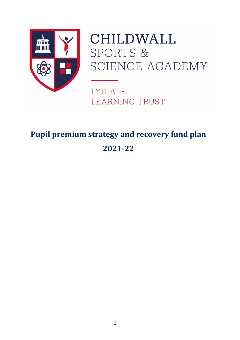

# **CHILDWALL SPORTS &** SCIENCE ACADEMY

**LYDIATE LEARNING TRUST** 

# **Pupil premium strategy and recovery fund plan 2021-22**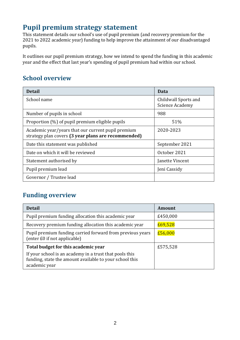## **Pupil premium strategy statement**

This statement details our school's use of pupil premium (and recovery premium for the 2021 to 2022 academic year) funding to help improve the attainment of our disadvantaged pupils.

It outlines our pupil premium strategy, how we intend to spend the funding in this academic year and the effect that last year's spending of pupil premium had within our school.

### **School overview**

| <b>Detail</b>                                                                                             | Data                                           |
|-----------------------------------------------------------------------------------------------------------|------------------------------------------------|
| School name                                                                                               | Childwall Sports and<br><b>Science Academy</b> |
| Number of pupils in school                                                                                | 988                                            |
| Proportion (%) of pupil premium eligible pupils                                                           | 51%                                            |
| Academic year/years that our current pupil premium<br>strategy plan covers (3 year plans are recommended) | 2020-2023                                      |
| Date this statement was published                                                                         | September 2021                                 |
| Date on which it will be reviewed                                                                         | October 2021                                   |
| Statement authorised by                                                                                   | Janette Vincent                                |
| Pupil premium lead                                                                                        | Jeni Cassidy                                   |
| Governor / Trustee lead                                                                                   |                                                |

### **Funding overview**

| <b>Detail</b>                                                                                                                       | <b>Amount</b> |
|-------------------------------------------------------------------------------------------------------------------------------------|---------------|
| Pupil premium funding allocation this academic year                                                                                 | £450,000      |
| Recovery premium funding allocation this academic year                                                                              | £69,528       |
| Pupil premium funding carried forward from previous years<br>(enter £0 if not applicable)                                           | £56,000       |
| Total budget for this academic year                                                                                                 | £575,528      |
| If your school is an academy in a trust that pools this<br>funding, state the amount available to your school this<br>academic year |               |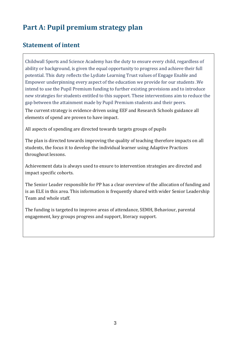# **Part A: Pupil premium strategy plan**

### **Statement of intent**

Childwall Sports and Science Academy has the duty to ensure every child, regardless of ability or background, is given the equal opportunity to progress and achieve their full potential. This duty reflects the Lydiate Learning Trust values of Engage Enable and Empower underpinning every aspect of the education we provide for our students .We intend to use the Pupil Premium funding to further existing provisions and to introduce new strategies for students entitled to this support. These interventions aim to reduce the gap between the attainment made by Pupil Premium students and their peers. The current strategy is evidence driven using EEF and Research Schools guidance all elements of spend are proven to have impact.

All aspects of spending are directed towards targets groups of pupils

The plan is directed towards improving the quality of teaching therefore impacts on all students, the focus it to develop the individual learner using Adaptive Practices throughout lessons.

Achievement data is always used to ensure to intervention strategies are directed and impact specific cohorts.

The Senior Leader responsible for PP has a clear overview of the allocation of funding and is an ELE in this area. This information is frequently shared with wider Senior Leadership Team and whole staff.

The funding is targeted to improve areas of attendance, SEMH, Behaviour, parental engagement, key groups progress and support, literacy support.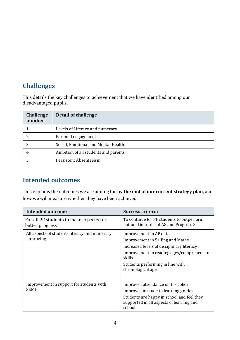#### **Challenges**

This details the key challenges to achievement that we have identified among our disadvantaged pupils.

| <b>Challenge</b><br>number | Detail of challenge                  |
|----------------------------|--------------------------------------|
|                            | Levels of Literacy and numeracy      |
|                            | Parental engagement                  |
|                            | Social, Emotional and Mental Health  |
| 4                          | Ambition of all students and parents |
|                            | Persistent Absenteeism               |

#### **Intended outcomes**

This explains the outcomes we are aiming for **by the end of our current strategy plan**, and how we will measure whether they have been achieved.

| <b>Intended outcome</b>                                    | <b>Success criteria</b>                                                                                                                                                                                                |
|------------------------------------------------------------|------------------------------------------------------------------------------------------------------------------------------------------------------------------------------------------------------------------------|
| For all PP students to make expected or<br>better progress | To continue for PP students to outperform<br>national in terms of A8 and Progress 8                                                                                                                                    |
| All aspects of students literacy and numeracy<br>improving | Improvement in AP data<br>Improvement in 5+ Eng and Maths<br>Increased levels of disciplinary literacy<br>Improvement in reading ages/comprehension<br>skills<br>Students performing in line with<br>chronological age |
| Improvement in support for students with<br><b>SEMH</b>    | Improved attendance of this cohort<br>Improved attitude to learning grades<br>Students are happy in school and feel they<br>supported in all aspects of learning and<br>school                                         |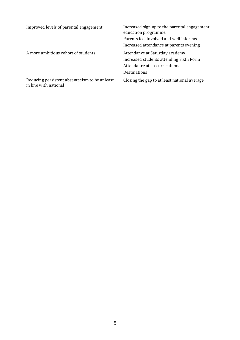| Improved levels of parental engagement                                  | Increased sign up to the parental engagement<br>education programme.<br>Parents feel involved and well informed<br>Increased attendance at parents evening |
|-------------------------------------------------------------------------|------------------------------------------------------------------------------------------------------------------------------------------------------------|
| A more ambitious cohort of students                                     | Attendance at Saturday academy<br>Increased students attending Sixth Form<br>Attendance at co-curriculums<br>Destinations                                  |
| Reducing persistent absenteeism to be at least<br>in line with national | Closing the gap to at least national average                                                                                                               |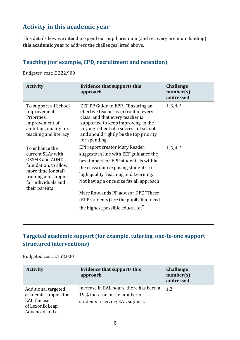# **Activity in this academic year**

This details how we intend to spend our pupil premium (and recovery premium funding) **this academic year** to address the challenges listed above.

#### **Teaching (for example, CPD, recruitment and retention)**

Budgeted cost: £ 222,900

| <b>Activity</b>                                                                                                                                                             | <b>Evidence that supports this</b><br>approach                                                                                                                                                                                                                                                                                                                    | <b>Challenge</b><br>number(s)<br>addressed |
|-----------------------------------------------------------------------------------------------------------------------------------------------------------------------------|-------------------------------------------------------------------------------------------------------------------------------------------------------------------------------------------------------------------------------------------------------------------------------------------------------------------------------------------------------------------|--------------------------------------------|
| To support all School<br>Improvement<br>Priorities,<br>improvement of<br>ambition, quality first<br>teaching and literacy                                                   | EEF PP Guide to EPP. "Ensuring an<br>effective teacher is in front of every<br>class, and that every teacher is<br>supported to keep improving, is the<br>key ingredient of a successful school<br>and should rightly be the top priority<br>for spending."                                                                                                       | 1, 3, 4, 5                                 |
| To enhance the<br>current SLAs with<br><b>OSSME</b> and ADHD<br>foundation, to allow<br>more time for staff<br>training and support<br>for individuals and<br>their parents | EPI report creator Mary Reader,<br>suggests in line with EEF guidance the<br>best impact for EPP students is within<br>the classroom exposing students to<br>high quality Teaching and Learning.<br>Not having a once size fits all approach<br>Marc Rowlands PP advisor DFE "These<br>(EPP students) are the pupils that need<br>the highest possible education" | 1, 3, 4, 5                                 |

#### **Targeted academic support (for example, tutoring, one-to-one support structured interventions)**

Budgeted cost: £158,000

| <b>Activity</b>      | <b>Evidence that supports this</b><br>approach | Challenge<br>number(s)<br>addressed |
|----------------------|------------------------------------------------|-------------------------------------|
| Additional targeted  | Increase in EAL hours, there has been a        | 1,2                                 |
| academic support for | 19% increase in the number of                  |                                     |
| EAL the use          | students receiving EAL support.                |                                     |
| of Lexonik Leap,     |                                                |                                     |
| Advanced and a       |                                                |                                     |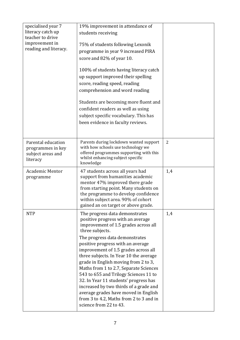| specialised year 7                      | 19% improvement in attendance of                                     |                |
|-----------------------------------------|----------------------------------------------------------------------|----------------|
| literacy catch up                       | students receiving                                                   |                |
| teacher to drive                        |                                                                      |                |
| improvement in<br>reading and literacy. | 75% of students following Lexonik                                    |                |
|                                         | programme in year 9 increased PIRA                                   |                |
|                                         | score and 82% of year 10.                                            |                |
|                                         |                                                                      |                |
|                                         | 100% of students having literacy catch                               |                |
|                                         | up support improved their spelling                                   |                |
|                                         | score, reading speed, reading                                        |                |
|                                         | comprehension and word reading                                       |                |
|                                         | Students are becoming more fluent and                                |                |
|                                         | confident readers as well as using                                   |                |
|                                         | subject specific vocabulary. This has                                |                |
|                                         | been evidence in faculty reviews.                                    |                |
|                                         |                                                                      |                |
|                                         |                                                                      |                |
| Parental education                      | Parents during lockdown wanted support                               | $\overline{2}$ |
| programmes in key                       | with how schools use technology we                                   |                |
| subject areas and                       | offered programmes supporting with this                              |                |
| literacy                                | whilst enhancing subject specific<br>knowledge                       |                |
| <b>Academic Mentor</b>                  |                                                                      |                |
| programme                               | 47 students across all years had<br>support from humanities academic | 1,4            |
|                                         | mentor 47% improved there grade                                      |                |
|                                         | from starting point. Many students on                                |                |
|                                         | the programme to develop confidence                                  |                |
|                                         | within subject area. 90% of cohort                                   |                |
|                                         | gained an on target or above grade.                                  |                |
| <b>NTP</b>                              | The progress data demonstrates                                       | 1,4            |
|                                         | positive progress with an average                                    |                |
|                                         | improvement of 1.5 grades across all<br>three subjects.              |                |
|                                         | The progress data demonstrates                                       |                |
|                                         | positive progress with an average                                    |                |
|                                         | improvement of 1.5 grades across all                                 |                |
|                                         | three subjects. In Year 10 the average                               |                |
|                                         | grade in English moving from 2 to 3,                                 |                |
|                                         | Maths from 1 to 2.7, Separate Sciences                               |                |
|                                         | 543 to 655 and Trilogy Sciences 11 to                                |                |
|                                         | 32. In Year 11 students' progress has                                |                |
|                                         | increased by two thirds of a grade and                               |                |
|                                         | average grades have moved in English                                 |                |
|                                         |                                                                      |                |
|                                         | from 3 to 4.2, Maths from 2 to 3 and in<br>science from 22 to 43.    |                |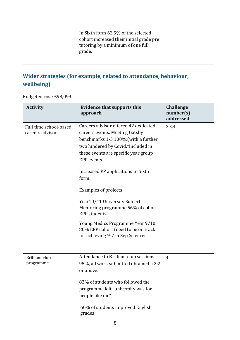|  | In Sixth form 62.5% of the selected<br>cohort increased their initial grade pre<br>tutoring by a minimum of one full<br>grade. |  |
|--|--------------------------------------------------------------------------------------------------------------------------------|--|
|--|--------------------------------------------------------------------------------------------------------------------------------|--|

### **Wider strategies (for example, related to attendance, behaviour, wellbeing)**

Budgeted cost: £98,099

| <b>Activity</b>                           | <b>Evidence that supports this</b><br>approach                                                                                                                                                                                                                                                                                                                                                                                                                                                  | <b>Challenge</b><br>number(s)<br>addressed |
|-------------------------------------------|-------------------------------------------------------------------------------------------------------------------------------------------------------------------------------------------------------------------------------------------------------------------------------------------------------------------------------------------------------------------------------------------------------------------------------------------------------------------------------------------------|--------------------------------------------|
| Full time school-based<br>careers advisor | Careers advisor offered 42 dedicated<br>careers events. Meeting Gatsby<br>benchmarks 1-3 100%. (with a further<br>two hindered by Covid.*Included in<br>these events are specific year group<br>EPP events.<br>Increased PP applications to Sixth<br>form.<br>Examples of projects<br>Year10/11 University Subject<br>Mentoring programme 56% of cohort<br><b>EPP</b> students<br>Young Medics Programme Year 9/10<br>80% EPP cohort (need to be on track<br>for achieving 9-7 in Sep Sciences. | 2,3,4                                      |
| <b>Brilliant club</b><br>programme        | Attendance to Brilliant club sessions<br>95%, all work submitted obtained a 2:2<br>or above.<br>83% of students who followed the<br>programme felt "university was for<br>people like me"<br>60% of students improved English<br>grades                                                                                                                                                                                                                                                         | 4                                          |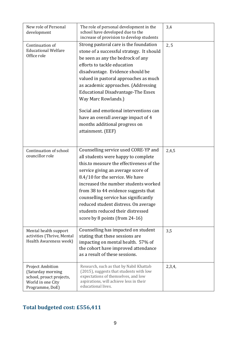| New role of Personal<br>development                                                                              | The role of personal development in the<br>school have developed due to the<br>increase of provision to develop students                                                                                                                                                                                                                                                                                                                                                               | 3,4    |
|------------------------------------------------------------------------------------------------------------------|----------------------------------------------------------------------------------------------------------------------------------------------------------------------------------------------------------------------------------------------------------------------------------------------------------------------------------------------------------------------------------------------------------------------------------------------------------------------------------------|--------|
| Continuation of<br><b>Educational Welfare</b><br>Office role                                                     | Strong pastoral care is the foundation<br>stone of a successful strategy. It should<br>be seen as any the bedrock of any<br>efforts to tackle education<br>disadvantage. Evidence should be<br>valued in pastoral approaches as much<br>as academic approaches. (Addressing<br><b>Educational Disadvantage-The Essex</b><br>Way Marc Rowlands.)<br>Social and emotional interventions can<br>have an overall average impact of 4<br>months additional progress on<br>attainment. (EEF) | 2, 5   |
| Continuation of school<br>councillor role                                                                        | Counselling service used CORE-YP and<br>all students were happy to complete<br>this.to measure the effectiveness of the<br>service giving an average score of<br>8.4/10 for the service. We have<br>increased the number students worked<br>from 38 to 44 evidence suggests that<br>counselling service has significantly<br>reduced student distress. On average<br>students reduced their distressed<br>score by 8 points (from 24-16)                                               | 2,4,5  |
| Mental health support<br>activities (Thrive, Mental<br>Health Awareness week)                                    | Counselling has impacted on student<br>stating that these sessions are<br>impacting on mental health. 57% of<br>the cohort have improved attendance<br>as a result of these sessions.                                                                                                                                                                                                                                                                                                  | 3,5    |
| <b>Project Ambition</b><br>(Saturday morning<br>school, proact projects,<br>World in one City<br>Programme, DoE) | Research, such as that by Nabil Khattab<br>(2015), suggests that students with low<br>expectations of themselves, and low<br>aspirations, will achieve less in their<br>educational lives.                                                                                                                                                                                                                                                                                             | 2,3,4, |

### **Total budgeted cost: £556,411**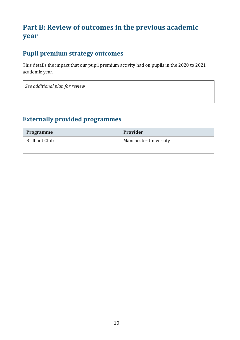# **Part B: Review of outcomes in the previous academic year**

#### **Pupil premium strategy outcomes**

This details the impact that our pupil premium activity had on pupils in the 2020 to 2021 academic year.

*See additional plan for review*

#### **Externally provided programmes**

| <b>Programme</b>      | Provider                     |
|-----------------------|------------------------------|
| <b>Brilliant Club</b> | <b>Manchester University</b> |
|                       |                              |